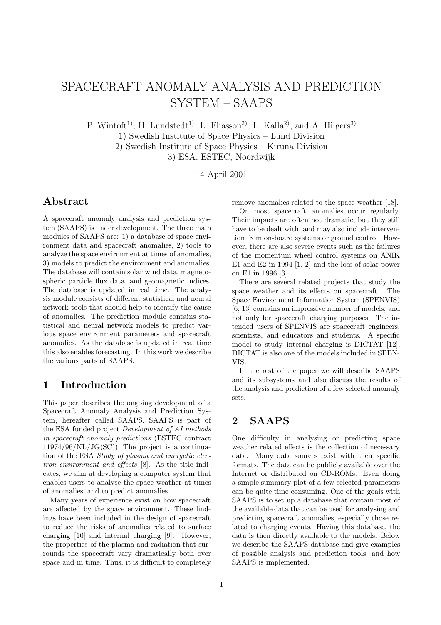# SPACECRAFT ANOMALY ANALYSIS AND PREDICTION SYSTEM – SAAPS

P. Wintoft<sup>1)</sup>, H. Lundstedt<sup>1)</sup>, L. Eliasson<sup>2)</sup>, L. Kalla<sup>2)</sup>, and A. Hilgers<sup>3)</sup> 1) Swedish Institute of Space Physics –Lund Division 2) Swedish Institute of Space Physics – Kiruna Division 3) ESA, ESTEC, Noordwijk

14 April 2001

# **Abstract**

A spacecraft anomaly analysis and prediction system (SAAPS) is under development. The three main modules of SAAPS are: 1) a database of space environment data and spacecraft anomalies, 2) tools to analyze the space environment at times of anomalies, 3) models to predict the environment and anomalies. The database will contain solar wind data, magnetospheric particle flux data, and geomagnetic indices. The database is updated in real time. The analysis module consists of different statistical and neural network tools that should help to identify the cause of anomalies. The prediction module contains statistical and neural network models to predict various space environment parameters and spacecraft anomalies. As the database is updated in real time this also enables forecasting. In this work we describe the various parts of SAAPS.

# **1 Introduction**

This paper describes the ongoing development of a Spacecraft Anomaly Analysis and Prediction System, hereafter called SAAPS. SAAPS is part of the ESA funded project Development of AI methods in spacecraft anomaly predictions (ESTEC contract  $11974/96/NL/JG(SC)$ . The project is a continuation of the ESA Study of plasma and energetic electron environment and effects [8]. As the title indicates, we aim at developing a computer system that enables users to analyse the space weather at times of anomalies, and to predict anomalies.

Many years of experience exist on how spacecraft are affected by the space environment. These findings have been included in the design of spacecraft to reduce the risks of anomalies related to surface charging [10] and internal charging [9]. However, the properties of the plasma and radiation that surrounds the spacecraft vary dramatically both over space and in time. Thus, it is difficult to completely

remove anomalies related to the space weather [18].

On most spacecraft anomalies occur regularly. Their impacts are often not dramatic, but they still have to be dealt with, and may also include intervention from on-board systems or ground control. However, there are also severe events such as the failures of the momentum wheel control systems on ANIK E1 and E2 in 1994 [1, 2] and the loss of solar power on E1 in 1996 [3].

There are several related projects that study the space weather and its effects on spacecraft. The Space Environment Information System (SPENVIS) [6, 13] contains an impressive number of models, and not only for spacecraft charging purposes. The intended users of SPENVIS are spacecraft engineers, scientists, and educators and students. A specific model to study internal charging is DICTAT [12]. DICTAT is also one of the models included in SPEN-VIS.

In the rest of the paper we will describe SAAPS and its subsystems and also discuss the results of the analysis and prediction of a few selected anomaly sets.

# **2 SAAPS**

One difficulty in analysing or predicting space weather related effects is the collection of necessary data. Many data sources exist with their specific formats. The data can be publicly available over the Internet or distributed on CD-ROMs. Even doing a simple summary plot of a few selected parameters can be quite time consuming. One of the goals with SAAPS is to set up a database that contain most of the available data that can be used for analysing and predicting spacecraft anomalies, especially those related to charging events. Having this database, the data is then directly available to the models. Below we describe the SAAPS database and give examples of possible analysis and prediction tools, and how SAAPS is implemented.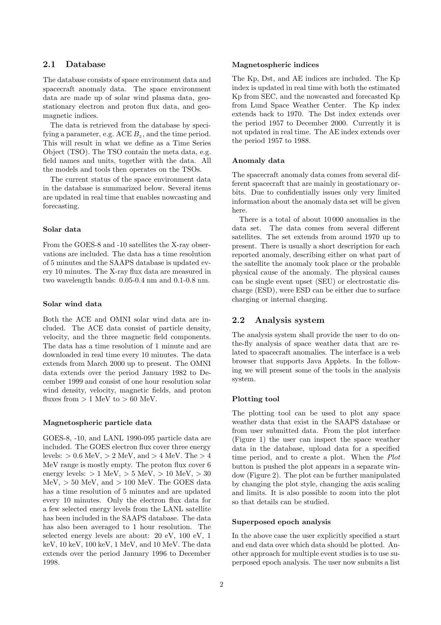## **2.1 Database**

The database consists of space environment data and spacecraft anomaly data. The space environment data are made up of solar wind plasma data, geostationary electron and proton flux data, and geomagnetic indices.

The data is retrieved from the database by specifying a parameter, e.g. ACE  $B_z$ , and the time period. This will result in what we define as a Time Series Object (TSO). The TSO contain the meta data, e.g. field names and units, together with the data. All the models and tools then operates on the TSOs.

The current status of the space environment data in the database is summarized below. Several items are updated in real time that enables nowcasting and forecasting.

#### **Solar data**

From the GOES-8 and -10 satellites the X-ray observations are included. The data has a time resolution of 5 minutes and the SAAPS database is updated every 10 minutes. The X-ray flux data are measured in two wavelength bands: 0.05-0.4 nm and 0.1-0.8 nm.

### **Solar wind data**

Both the ACE and OMNI solar wind data are included. The ACE data consist of particle density, velocity, and the three magnetic field components. The data has a time resolution of 1 minute and are downloaded in real time every 10 minutes. The data extends from March 2000 up to present. The OMNI data extends over the period January 1982 to December 1999 and consist of one hour resolution solar wind density, velocity, magnetic fields, and proton fluxes from  $> 1$  MeV to  $> 60$  MeV.

#### **Magnetospheric particle data**

GOES-8, -10, and LANL 1990-095 particle data are included. The GOES electron flux cover three energy levels: *>* 0*.*6 MeV, *>* 2 MeV, and *>* 4 MeV. The *>* 4 MeV range is mostly empty. The proton flux cover 6 energy levels: *>* 1 MeV, *>* 5 MeV, *>* 10 MeV, *>* 30 MeV, *>* 50 MeV, and *>* 100 MeV. The GOES data has a time resolution of 5 minutes and are updated every 10 minutes. Only the electron flux data for a few selected energy levels from the LANL satellite has been included in the SAAPS database. The data has also been averaged to 1 hour resolution. The selected energy levels are about: 20 eV, 100 eV, 1 keV, 10 keV, 100 keV, 1 MeV, and 10 MeV. The data extends over the period January 1996 to December 1998.

### **Magnetospheric indices**

The Kp, Dst, and AE indices are included. The Kp index is updated in real time with both the estimated Kp from SEC, and the nowcasted and forecasted Kp from Lund Space Weather Center. The Kp index extends back to 1970. The Dst index extends over the period 1957 to December 2000. Currently it is not updated in real time. The AE index extends over the period 1957 to 1988.

#### **Anomaly data**

The spacecraft anomaly data comes from several different spacecraft that are mainly in geostationary orbits. Due to confidentially issues only very limited information about the anomaly data set will be given here.

There is a total of about 10 000 anomalies in the data set. The data comes from several different satellites. The set extends from around 1970 up to present. There is usually a short description for each reported anomaly, describing either on what part of the satellite the anomaly took place or the probable physical cause of the anomaly. The physical causes can be single event upset (SEU) or electrostatic discharge (ESD), were ESD can be either due to surface charging or internal charging.

## **2.2 Analysis system**

The analysis system shall provide the user to do onthe-fly analysis of space weather data that are related to spacecraft anomalies. The interface is a web browser that supports Java Applets. In the following we will present some of the tools in the analysis system.

### **Plotting tool**

The plotting tool can be used to plot any space weather data that exist in the SAAPS database or from user submitted data. From the plot interface (Figure 1) the user can inspect the space weather data in the database, upload data for a specified time period, and to create a plot. When the Plot button is pushed the plot appears in a separate window (Figure 2). The plot can be further manipulated by changing the plot style, changing the axis scaling and limits. It is also possible to zoom into the plot so that details can be studied.

#### **Superposed epoch analysis**

In the above case the user explicitly specified a start and end data over which data should be plotted. Another approach for multiple event studies is to use superposed epoch analysis. The user now submits a list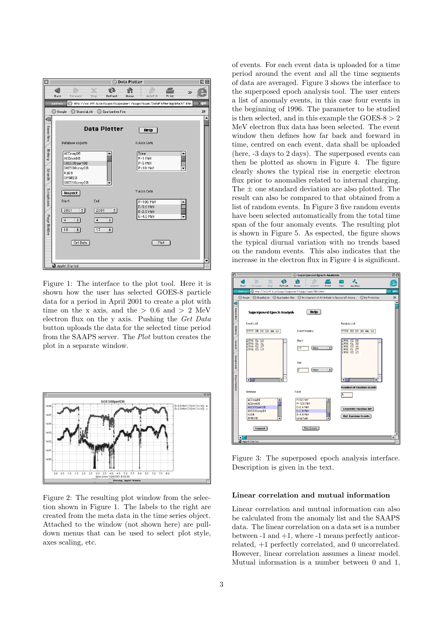

Figure 1: The interface to the plot tool. Here it is shown how the user has selected GOES-8 particle data for a period in April 2001 to create a plot with time on the x axis, and the  $> 0.6$  and  $> 2$  MeV electron flux on the y axis. Pushing the Get Data button uploads the data for the selected time period from the SAAPS server. The Plot button creates the plot in a separate window.



Figure 2: The resulting plot window from the selection shown in Figure 1. The labels to the right are created from the meta data in the time series object. Attached to the window (not shown here) are pulldown menus that can be used to select plot style, axes scaling, etc.

of events. For each event data is uploaded for a time period around the event and all the time segments of data are averaged. Figure 3 shows the interface to the superposed epoch analysis tool. The user enters a list of anomaly events, in this case four events in the beginning of 1996. The parameter to be studied is then selected, and in this example the GOES-8 *>* 2 MeV electron flux data has been selected. The event window then defines how far back and forward in time, centred on each event, data shall be uploaded (here, -3 days to 2 days). The superposed events can then be plotted as shown in Figure 4. The figure clearly shows the typical rise in energetic electron flux prior to anomalies related to internal charging. The  $\pm$  one standard deviation are also plotted. The result can also be compared to that obtained from a list of random events. In Figure 3 five random events have been selected automatically from the total time span of the four anomaly events. The resulting plot is shown in Figure 5. As espected, the figure shows the typical diurnal variation with no trends based on the random events. This also indicates that the increase in the electron flux in Figure 4 is significant.



Figure 3: The superposed epoch analysis interface. Description is given in the text.

#### **Linear correlation and mutual information**

Linear correlation and mutual information can also be calculated from the anomaly list and the SAAPS data. The linear correlation on a data set is a number between  $-1$  and  $+1$ , where  $-1$  means perfectly anticorrelated, +1 perfectly correlated, and 0 uncorrelated. However, linear correlation assumes a linear model. Mutual information is a number between 0 and 1,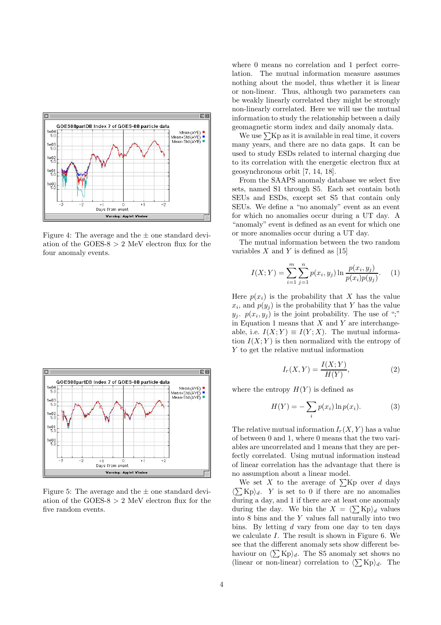

Figure 4: The average and the  $\pm$  one standard deviation of the GOES-8 *>* 2 MeV electron flux for the four anomaly events.



Figure 5: The average and the  $\pm$  one standard deviation of the GOES-8 *>* 2 MeV electron flux for the five random events.

where 0 means no correlation and 1 perfect correlation. The mutual information measure assumes nothing about the model, thus whether it is linear or non-linear. Thus, although two parameters can be weakly linearly correlated they might be strongly non-linearly correlated. Here we will use the mutual information to study the relationship between a daily geomagnetic storm index and daily anomaly data.

We use  $\sum Kp$  as it is available in real time, it covers many years, and there are no data gaps. It can be used to study ESDs related to internal charging due to its correlation with the energetic electron flux at geosynchronous orbit [7, 14, 18].

From the SAAPS anomaly database we select five sets, named S1 through S5. Each set contain both SEUs and ESDs, except set S5 that contain only SEUs. We define a "no anomaly" event as an event for which no anomalies occur during a UT day. A "anomaly" event is defined as an event for which one or more anomalies occur during a UT day.

The mutual information between the two random variables  $X$  and  $Y$  is defined as [15]

$$
I(X;Y) = \sum_{i=1}^{m} \sum_{j=1}^{n} p(x_i, y_j) \ln \frac{p(x_i, y_j)}{p(x_i)p(y_j)}.
$$
 (1)

Here  $p(x_i)$  is the probability that *X* has the value  $x_i$ , and  $p(y_i)$  is the probability that *Y* has the value  $y_j$ .  $p(x_i, y_j)$  is the joint probability. The use of ";" in Equation 1 means that *X* and *Y* are interchangeable, i.e.  $I(X;Y) \equiv I(Y;X)$ . The mutual information  $I(X; Y)$  is then normalized with the entropy of *Y* to get the relative mutual information

$$
I_r(X,Y) = \frac{I(X;Y)}{H(Y)},\tag{2}
$$

where the entropy  $H(Y)$  is defined as

$$
H(Y) = -\sum_{i} p(x_i) \ln p(x_i). \tag{3}
$$

The relative mutual information  $I_r(X, Y)$  has a value of between 0 and 1, where 0 means that the two variables are uncorrelated and 1 means that they are perfectly correlated. Using mutual information instead of linear correlation has the advantage that there is no assumption about a linear model.

We set X to the average of  $\sum K$  over d days  $\langle \sum Kp \rangle_d$ . *Y* is set to 0 if there are no anomalies during a day, and 1 if there are at least one anomaly during the day. We bin the  $X = \langle \sum Kp \rangle_d$  values into 8 bins and the *Y* values fall naturally into two bins. By letting *d* vary from one day to ten days we calculate *I*. The result is shown in Figure 6. We see that the different anomaly sets show different behaviour on  $\langle \sum Kp \rangle_d$ . The S5 anomaly set shows no (linear or non-linear) correlation to  $\langle \sum Kp \rangle_d$ . The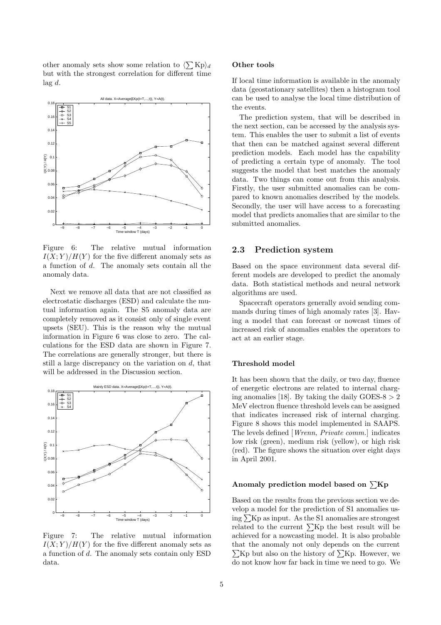other anomaly sets show some relation to  $\langle \sum Kp \rangle_d$ but with the strongest correlation for different time lag *d*.



Figure 6: The relative mutual information  $I(X;Y)/H(Y)$  for the five different anomaly sets as a function of *d*. The anomaly sets contain all the anomaly data.

Next we remove all data that are not classified as electrostatic discharges (ESD) and calculate the mutual information again. The S5 anomaly data are completely removed as it consist only of single event upsets (SEU). This is the reason why the mutual information in Figure 6 was close to zero. The calculations for the ESD data are shown in Figure 7. The correlations are generally stronger, but there is still a large discrepancy on the variation on *d*, that will be addressed in the Discussion section.



Figure 7: The relative mutual information  $I(X; Y)/H(Y)$  for the five different anomaly sets as a function of *d*. The anomaly sets contain only ESD data.

#### **Other tools**

If local time information is available in the anomaly data (geostationary satellites) then a histogram tool can be used to analyse the local time distribution of the events.

The prediction system, that will be described in the next section, can be accessed by the analysis system. This enables the user to submit a list of events that then can be matched against several different prediction models. Each model has the capability of predicting a certain type of anomaly. The tool suggests the model that best matches the anomaly data. Two things can come out from this analysis. Firstly, the user submitted anomalies can be compared to known anomalies described by the models. Secondly, the user will have access to a forecasting model that predicts anomalies that are similar to the submitted anomalies.

### **2.3 Prediction system**

Based on the space environment data several different models are developed to predict the anomaly data. Both statistical methods and neural network algorithms are used.

Spacecraft operators generally avoid sending commands during times of high anomaly rates [3]. Having a model that can forecast or nowcast times of increased risk of anomalies enables the operators to act at an earlier stage.

### **Threshold model**

It has been shown that the daily, or two day, fluence of energetic electrons are related to internal charging anomalies [18]. By taking the daily GOES-8 *>* 2 MeV electron fluence threshold levels can be assigned that indicates increased risk of internal charging. Figure 8 shows this model implemented in SAAPS. The levels defined [Wrenn, Private comm.] indicates low risk (green), medium risk (yellow), or high risk (red). The figure shows the situation over eight days in April 2001.

#### Anomaly prediction model based on  $\sum Kp$

Based on the results from the previous section we develop a model for the prediction of S1 anomalies using  $\Sigma$ Kp as input. As the S1 anomalies are strongest related to the current  $\sum K_p$  the best result will be achieved for a nowcasting model. It is also probable that the anomaly not only depends on the current  $\sum Kp$  but also on the history of  $\sum Kp$ . However, we do not know how far back in time we need to go. We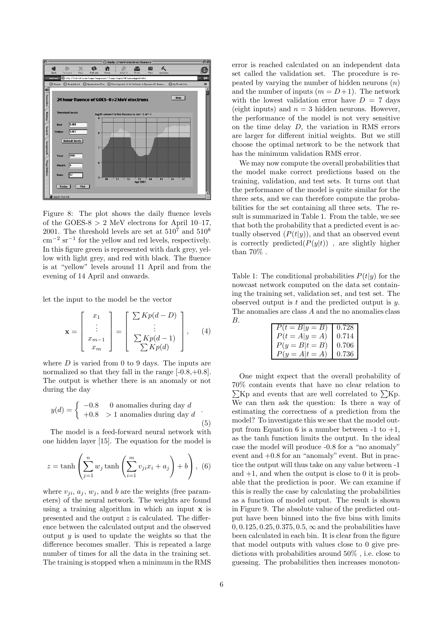

Figure 8: The plot shows the daily fluence levels of the GOES- $8 > 2$  MeV electrons for April 10–17, 2001. The threshold levels are set at  $510^7$  and  $510^8$  $\text{cm}^{-2} \text{ sr}^{-1}$  for the yellow and red levels, respectively. In this figure green is represented with dark grey, yellow with light grey, and red with black. The fluence is at "yellow" levels around 11 April and from the evening of 14 April and onwards.

let the input to the model be the vector

$$
\mathbf{x} = \begin{bmatrix} x_1 \\ \vdots \\ x_{m-1} \\ x_m \end{bmatrix} = \begin{bmatrix} \sum Kp(d-D) \\ \vdots \\ \sum Kp(d-1) \\ \sum Kp(d) \end{bmatrix}, \quad (4)
$$

where *D* is varied from 0 to 9 days. The inputs are normalized so that they fall in the range  $[-0.8, +0.8]$ . The output is whether there is an anomaly or not during the day

$$
y(d) = \begin{cases} -0.8 & 0 \text{ anomalies during day } d \\ +0.8 > 1 \text{ anomalies during day } d \end{cases}
$$
\n
$$
(5)
$$

The model is a feed-forward neural network with one hidden layer [15]. The equation for the model is

$$
z = \tanh\left(\sum_{j=1}^{n} w_j \tanh\left(\sum_{i=1}^{m} v_j x_i + a_j\right) + b\right), \tag{6}
$$

where  $v_{ji}$ ,  $a_j$ ,  $w_j$ , and *b* are the weights (free parameters) of the neural network. The weights are found using a training algorithm in which an input **x** is presented and the output *z* is calculated. The difference between the calculated output and the observed output *y* is used to update the weights so that the difference becomes smaller. This is repeated a large number of times for all the data in the training set. The training is stopped when a minimum in the RMS error is reached calculated on an independent data set called the validation set. The procedure is repeated by varying the number of hidden neurons (*n*) and the number of inputs  $(m = D + 1)$ . The network with the lowest validation error have  $D = 7$  days (eight inputs) and  $n = 3$  hidden neurons. However, the performance of the model is not very sensitive on the time delay *D*, the variation in RMS errors are larger for different initial weights. But we still choose the optimal network to be the network that has the minimum validation RMS error.

We may now compute the overall probabilities that the model make correct predictions based on the training, validation, and test sets. It turns out that the performance of the model is quite similar for the three sets, and we can therefore compute the probabilities for the set containing all three sets. The result is summarized in Table 1. From the table, we see that both the probability that a predicted event is actually observed  $(P(t|y))$ , and that an observed event is correctly predicted $(P(y|t))$ , are slightly higher than 70% .

Table 1: The conditional probabilities  $P(t|y)$  for the nowcast network computed on the data set containing the training set, validation set, and test set. The observed output is *t* and the predicted output is *y*. The anomalies are class *A* and the no anomalies class

| В. |                                                                                                                    |  |
|----|--------------------------------------------------------------------------------------------------------------------|--|
|    |                                                                                                                    |  |
|    |                                                                                                                    |  |
|    | $\begin{array}{ c c } \hline P(t=B y=B) & 0.728 \\ P(t=A y=A) & 0.714 \\ P(y=B t=B) & 0.706 \\ \hline \end{array}$ |  |
|    | $P(y = A t = A)$ 0.736                                                                                             |  |

One might expect that the overall probability of 70% contain events that have no clear relation to  $\Sigma$ Kp and events that are well correlated to  $\Sigma$ Kp. We can then ask the question: Is there a way of estimating the correctness of a prediction from the model? To investigate this we see that the model output from Equation 6 is a number between  $-1$  to  $+1$ , as the tanh function limits the output. In the ideal case the model will produce -0.8 for a "no anomaly" event and +0.8 for an "anomaly" event. But in practice the output will thus take on any value between -1 and  $+1$ , and when the output is close to 0 it is probable that the prediction is poor. We can examine if this is really the case by calculating the probabilities as a function of model output. The result is shown in Figure 9. The absolute value of the predicted output have been binned into the five bins with limits 0*,* 0*.*125*,* 0*.*25*,* 0*.*375*,* 0*.*5*,* ∞ and the probabilities have been calculated in each bin. It is clear from the figure that model outputs with values close to 0 give predictions with probabilities around 50% , i.e. close to guessing. The probabilities then increases monoton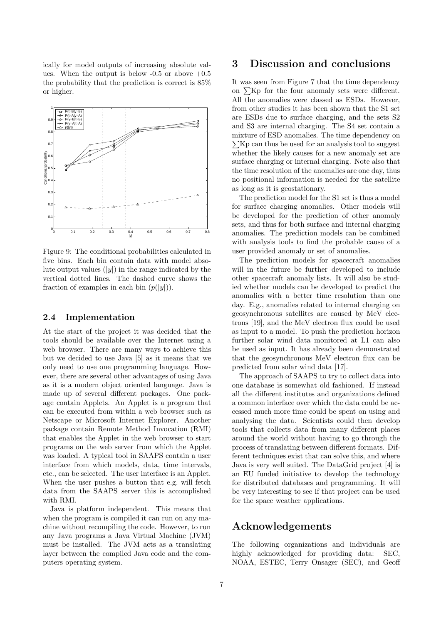ically for model outputs of increasing absolute values. When the output is below  $-0.5$  or above  $+0.5$ the probability that the prediction is correct is 85% or higher.



Figure 9: The conditional probabilities calculated in five bins. Each bin contain data with model absolute output values  $(|y|)$  in the range indicated by the vertical dotted lines. The dashed curve shows the fraction of examples in each bin  $(p(|y|))$ .

### **2.4 Implementation**

At the start of the project it was decided that the tools should be available over the Internet using a web browser. There are many ways to achieve this but we decided to use Java [5] as it means that we only need to use one programming language. However, there are several other advantages of using Java as it is a modern object oriented language. Java is made up of several different packages. One package contain Applets. An Applet is a program that can be executed from within a web browser such as Netscape or Microsoft Internet Explorer. Another package contain Remote Method Invocation (RMI) that enables the Applet in the web browser to start programs on the web server from which the Applet was loaded. A typical tool in SAAPS contain a user interface from which models, data, time intervals, etc., can be selected. The user interface is an Applet. When the user pushes a button that e.g. will fetch data from the SAAPS server this is accomplished with RMI.

Java is platform independent. This means that when the program is compiled it can run on any machine without recompiling the code. However, to run any Java programs a Java Virtual Machine (JVM) must be installed. The JVM acts as a translating layer between the compiled Java code and the computers operating system.

# **3 Discussion and conclusions**

It was seen from Figure 7 that the time dependency on  $\Sigma$ Kp for the four anomaly sets were different. All the anomalies were classed as ESDs. However, from other studies it has been shown that the S1 set are ESDs due to surface charging, and the sets S2 and S3 are internal charging. The S4 set contain a mixture of ESD anomalies. The time dependency on  $\sum$ Kp can thus be used for an analysis tool to suggest whether the likely causes for a new anomaly set are surface charging or internal charging. Note also that the time resolution of the anomalies are one day, thus no positional information is needed for the satellite as long as it is geostationary.

The prediction model for the S1 set is thus a model for surface charging anomalies. Other models will be developed for the prediction of other anomaly sets, and thus for both surface and internal charging anomalies. The prediction models can be combined with analysis tools to find the probable cause of a user provided anomaly or set of anomalies.

The prediction models for spacecraft anomalies will in the future be further developed to include other spacecraft anomaly lists. It will also be studied whether models can be developed to predict the anomalies with a better time resolution than one day. E.g., anomalies related to internal charging on geosynchronous satellites are caused by MeV electrons [19], and the MeV electron flux could be used as input to a model. To push the prediction horizon further solar wind data monitored at L1 can also be used as input. It has already been demonstrated that the geosynchronous MeV electron flux can be predicted from solar wind data [17].

The approach of SAAPS to try to collect data into one database is somewhat old fashioned. If instead all the different institutes and organizations defined a common interface over which the data could be accessed much more time could be spent on using and analysing the data. Scientists could then develop tools that collects data from many different places around the world without having to go through the process of translating between different formats. Different techniques exist that can solve this, and where Java is very well suited. The DataGrid project [4] is an EU funded initiative to develop the technology for distributed databases and programming. It will be very interesting to see if that project can be used for the space weather applications.

# **Acknowledgements**

The following organizations and individuals are highly acknowledged for providing data: SEC, NOAA, ESTEC, Terry Onsager (SEC), and Geoff